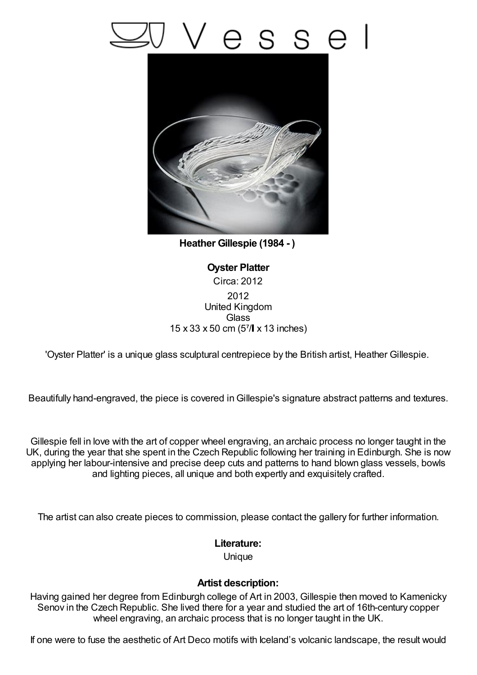## esse



**Heather Gillespie (1984 - )**

**Oyster Platter** Circa: 2012 2012 United Kingdom **Glass** 15 x 33 x 50 cm (5⁷/ x 13 inches)

'Oyster Platter' is a unique glass sculptural centrepiece by the British artist, Heather Gillespie.

Beautifully hand-engraved, the piece is covered inGillespie's signature abstract patterns and textures.

Gillespie fell in love with the art of copper wheel engraving, an archaic process no longer taught in the UK, during the year that she spent in the Czech Republic following her training in Edinburgh. She is now applying her labour-intensive and precise deep cuts and patterns to hand blown glass vessels, bowls and lighting pieces, all unique and both expertly and exquisitely crafted.

The artist can also create pieces to commission, please contact the gallery for further information.

## **Literature:**

Unique

## **Artist description:**

Having gained her degree from Edinburgh college of Art in 2003, Gillespie then moved to Kamenicky Senov in the Czech Republic. She lived there for a year and studied the art of 16th-century copper wheel engraving, an archaic process that is no longer taught in the UK.

If one were to fuse the aesthetic of Art Deco motifs with Iceland's volcanic landscape, the result would